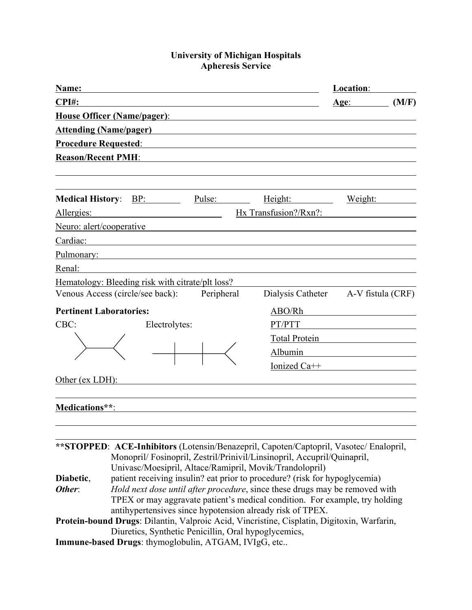## **University of Michigan Hospitals Apheresis Service**

| Name:                                                                                      | Location:                                                                                                                                                 |  |  |
|--------------------------------------------------------------------------------------------|-----------------------------------------------------------------------------------------------------------------------------------------------------------|--|--|
| CPI#:                                                                                      | (M/F)<br><u>Age:</u>                                                                                                                                      |  |  |
| House Officer (Name/pager):                                                                |                                                                                                                                                           |  |  |
| <b>Attending (Name/pager)</b>                                                              |                                                                                                                                                           |  |  |
| <b>Procedure Requested:</b>                                                                |                                                                                                                                                           |  |  |
| <b>Reason/Recent PMH:</b>                                                                  |                                                                                                                                                           |  |  |
|                                                                                            |                                                                                                                                                           |  |  |
| <b>Medical History:</b><br>BP:<br>Pulse:<br>Height:                                        | Weight:                                                                                                                                                   |  |  |
| Hx Transfusion?/Rxn?:<br>Allergies:                                                        |                                                                                                                                                           |  |  |
| Neuro: alert/cooperative                                                                   |                                                                                                                                                           |  |  |
| Cardiac:                                                                                   |                                                                                                                                                           |  |  |
| Pulmonary:                                                                                 |                                                                                                                                                           |  |  |
| Renal:                                                                                     |                                                                                                                                                           |  |  |
| Hematology: Bleeding risk with citrate/plt loss?                                           |                                                                                                                                                           |  |  |
| Peripheral<br>Venous Access (circle/see back):                                             | Dialysis Catheter<br>A-V fistula (CRF)                                                                                                                    |  |  |
| <b>Pertinent Laboratories:</b>                                                             | ABO/Rh                                                                                                                                                    |  |  |
| CBC:<br>Electrolytes:                                                                      | PT/PTT                                                                                                                                                    |  |  |
|                                                                                            | <b>Total Protein</b>                                                                                                                                      |  |  |
|                                                                                            | Albumin                                                                                                                                                   |  |  |
|                                                                                            | Ionized Ca++                                                                                                                                              |  |  |
| Other (ex LDH):                                                                            |                                                                                                                                                           |  |  |
|                                                                                            |                                                                                                                                                           |  |  |
| Medications**:                                                                             |                                                                                                                                                           |  |  |
|                                                                                            |                                                                                                                                                           |  |  |
|                                                                                            |                                                                                                                                                           |  |  |
| **STOPPED: ACE-Inhibitors (Lotensin/Benazepril, Capoten/Captopril, Vasotec/ Enalopril,     |                                                                                                                                                           |  |  |
| Monopril/Fosinopril, Zestril/Prinivil/Linsinopril, Accupril/Quinapril,                     |                                                                                                                                                           |  |  |
| Univasc/Moesipril, Altace/Ramipril, Movik/Trandolopril)<br>Diabetic,                       |                                                                                                                                                           |  |  |
| Other:                                                                                     | patient receiving insulin? eat prior to procedure? (risk for hypoglycemia)<br>Hold next dose until after procedure, since these drugs may be removed with |  |  |
| TPEX or may aggravate patient's medical condition. For example, try holding                |                                                                                                                                                           |  |  |
| antihypertensives since hypotension already risk of TPEX.                                  |                                                                                                                                                           |  |  |
| Protein-bound Drugs: Dilantin, Valproic Acid, Vincristine, Cisplatin, Digitoxin, Warfarin, |                                                                                                                                                           |  |  |
| Diuretics, Synthetic Penicillin, Oral hypoglycemics,                                       |                                                                                                                                                           |  |  |
| Immune-based Drugs: thymoglobulin, ATGAM, IVIgG, etc                                       |                                                                                                                                                           |  |  |